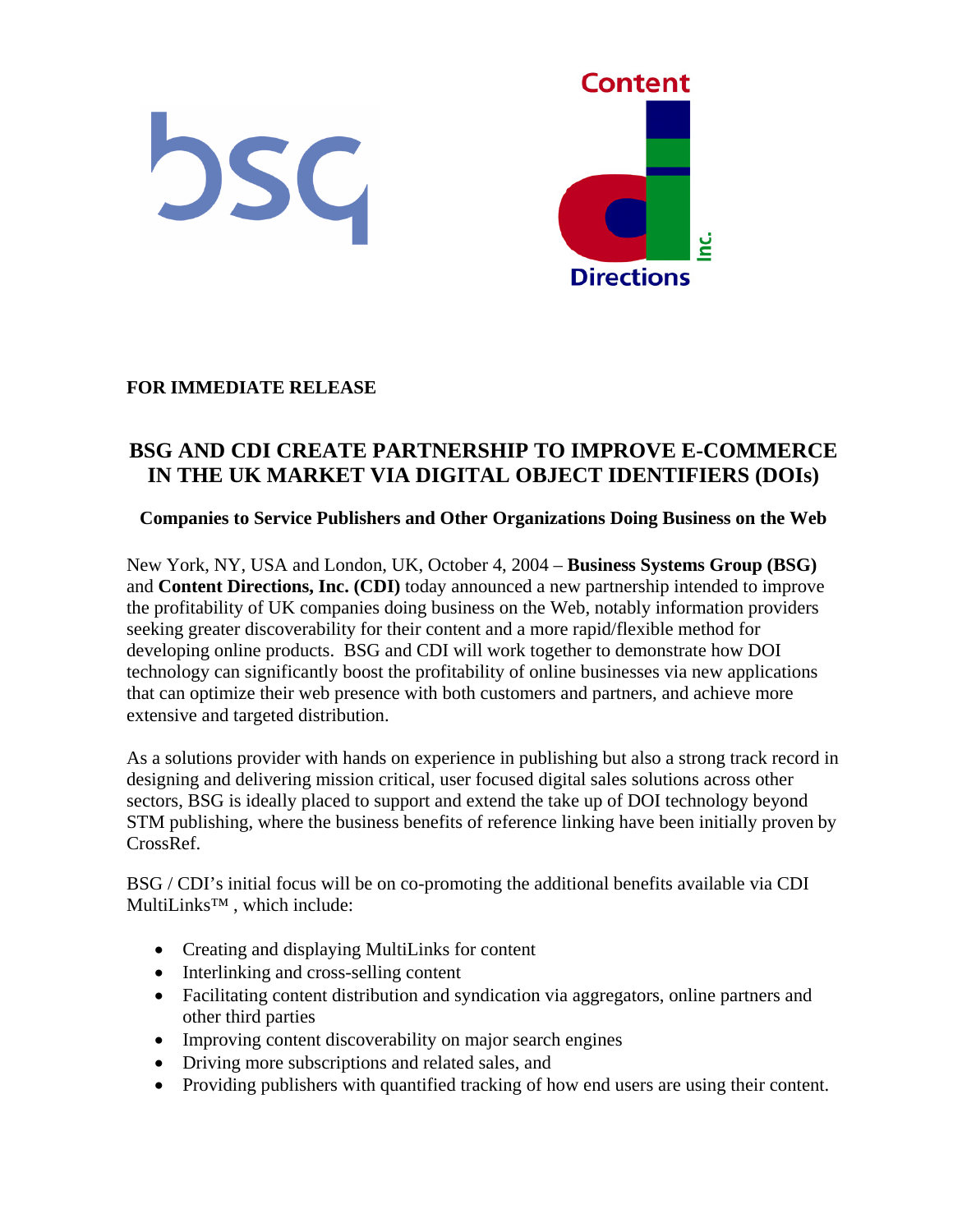

## **FOR IMMEDIATE RELEASE**

# **BSG AND CDI CREATE PARTNERSHIP TO IMPROVE E-COMMERCE IN THE UK MARKET VIA DIGITAL OBJECT IDENTIFIERS (DOIs)**

#### **Companies to Service Publishers and Other Organizations Doing Business on the Web**

New York, NY, USA and London, UK, October 4, 2004 – **Business Systems Group (BSG)** and **Content Directions, Inc. (CDI)** today announced a new partnership intended to improve the profitability of UK companies doing business on the Web, notably information providers seeking greater discoverability for their content and a more rapid/flexible method for developing online products. BSG and CDI will work together to demonstrate how DOI technology can significantly boost the profitability of online businesses via new applications that can optimize their web presence with both customers and partners, and achieve more extensive and targeted distribution.

As a solutions provider with hands on experience in publishing but also a strong track record in designing and delivering mission critical, user focused digital sales solutions across other sectors, BSG is ideally placed to support and extend the take up of DOI technology beyond STM publishing, where the business benefits of reference linking have been initially proven by CrossRef.

BSG / CDI's initial focus will be on co-promoting the additional benefits available via CDI MultiLinks™ , which include:

- Creating and displaying MultiLinks for content
- Interlinking and cross-selling content
- Facilitating content distribution and syndication via aggregators, online partners and other third parties
- Improving content discoverability on major search engines
- Driving more subscriptions and related sales, and
- Providing publishers with quantified tracking of how end users are using their content.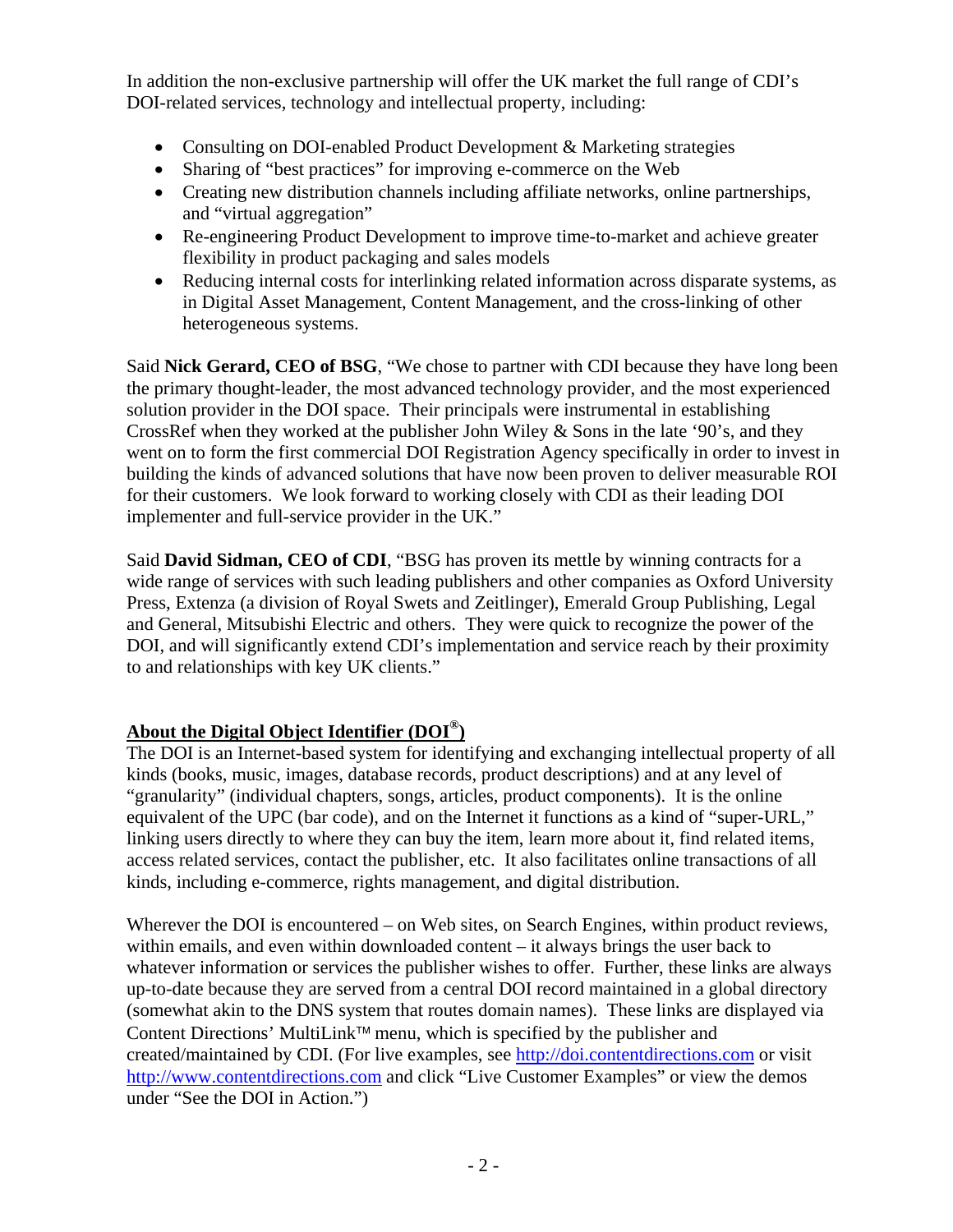In addition the non-exclusive partnership will offer the UK market the full range of CDI's DOI-related services, technology and intellectual property, including:

- Consulting on DOI-enabled Product Development & Marketing strategies
- Sharing of "best practices" for improving e-commerce on the Web
- Creating new distribution channels including affiliate networks, online partnerships, and "virtual aggregation"
- Re-engineering Product Development to improve time-to-market and achieve greater flexibility in product packaging and sales models
- Reducing internal costs for interlinking related information across disparate systems, as in Digital Asset Management, Content Management, and the cross-linking of other heterogeneous systems.

Said **Nick Gerard, CEO of BSG**, "We chose to partner with CDI because they have long been the primary thought-leader, the most advanced technology provider, and the most experienced solution provider in the DOI space. Their principals were instrumental in establishing CrossRef when they worked at the publisher John Wiley  $&$  Sons in the late '90's, and they went on to form the first commercial DOI Registration Agency specifically in order to invest in building the kinds of advanced solutions that have now been proven to deliver measurable ROI for their customers. We look forward to working closely with CDI as their leading DOI implementer and full-service provider in the UK."

Said **David Sidman, CEO of CDI**, "BSG has proven its mettle by winning contracts for a wide range of services with such leading publishers and other companies as Oxford University Press, Extenza (a division of Royal Swets and Zeitlinger), Emerald Group Publishing, Legal and General, Mitsubishi Electric and others. They were quick to recognize the power of the DOI, and will significantly extend CDI's implementation and service reach by their proximity to and relationships with key UK clients."

# **About the Digital Object Identifier (DOI®)**

The DOI is an Internet-based system for identifying and exchanging intellectual property of all kinds (books, music, images, database records, product descriptions) and at any level of "granularity" (individual chapters, songs, articles, product components). It is the online equivalent of the UPC (bar code), and on the Internet it functions as a kind of "super-URL," linking users directly to where they can buy the item, learn more about it, find related items, access related services, contact the publisher, etc. It also facilitates online transactions of all kinds, including e-commerce, rights management, and digital distribution.

Wherever the DOI is encountered – on Web sites, on Search Engines, within product reviews, within emails, and even within downloaded content – it always brings the user back to whatever information or services the publisher wishes to offer. Further, these links are always up-to-date because they are served from a central DOI record maintained in a global directory (somewhat akin to the DNS system that routes domain names). These links are displayed via Content Directions' MultiLink<sup> $TM$ </sup> menu, which is specified by the publisher and created/maintained by CDI. (For live examples, see [http://doi.contentdirections.com](http://doi.contentdirections.com/) or visit [http://www.contentdirections.com](http://www.contentdirections.com/) and click "Live Customer Examples" or view the demos under "See the DOI in Action.")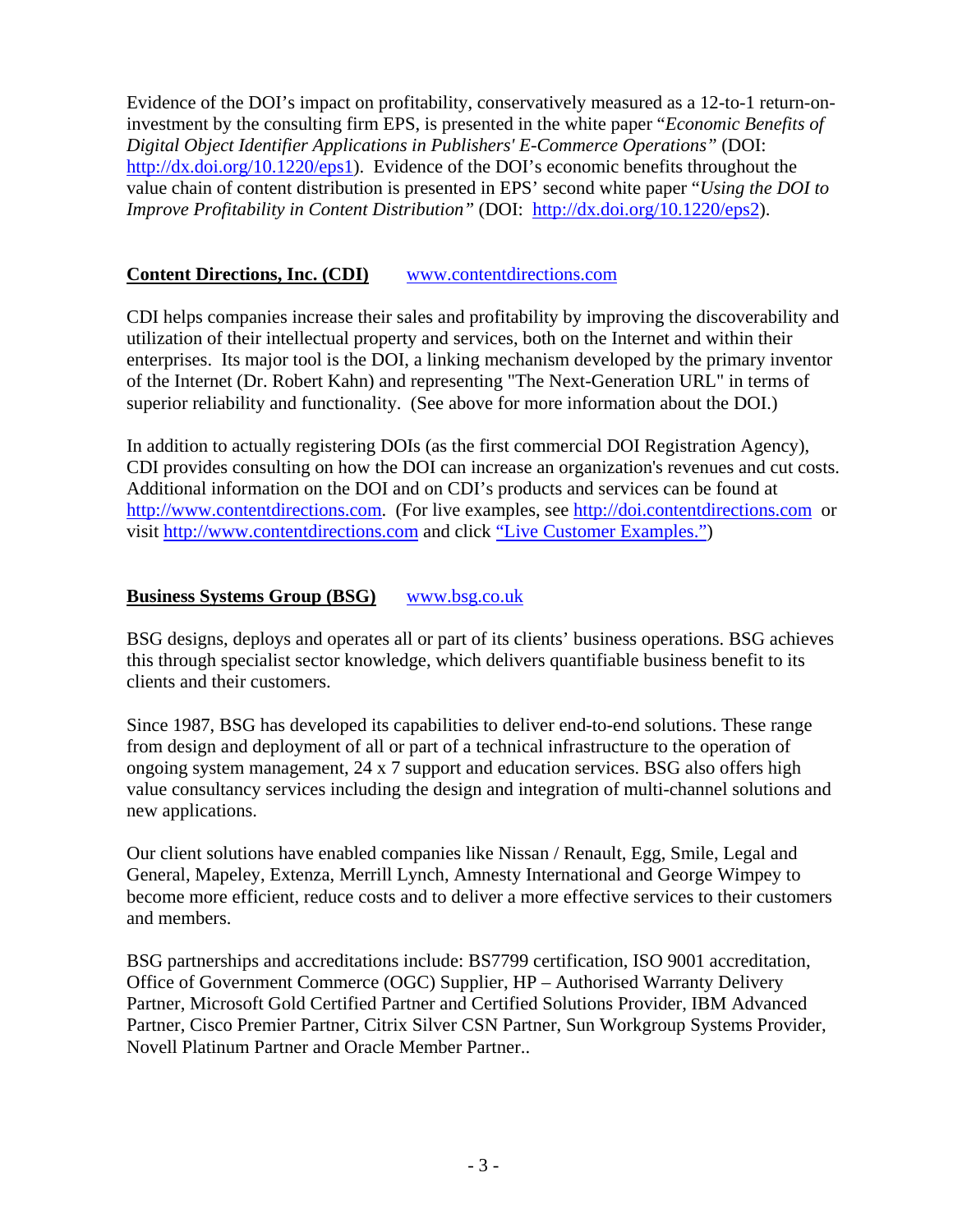Evidence of the DOI's impact on profitability, conservatively measured as a 12-to-1 return-oninvestment by the consulting firm EPS, is presented in the white paper "*Economic Benefits of Digital Object Identifier Applications in Publishers' E-Commerce Operations"* (DOI: <http://dx.doi.org/10.1220/eps1>). Evidence of the DOI's economic benefits throughout the value chain of content distribution is presented in EPS' second white paper "*Using the DOI to Improve Profitability in Content Distribution"* (DOI: <http://dx.doi.org/10.1220/eps2>).

### **Content Directions, Inc. (CDI)** [www.contentdirections.com](http://www.contentdirections.com/)

CDI helps companies increase their sales and profitability by improving the discoverability and utilization of their intellectual property and services, both on the Internet and within their enterprises. Its major tool is the DOI, a linking mechanism developed by the primary inventor of the Internet (Dr. Robert Kahn) and representing "The Next-Generation URL" in terms of superior reliability and functionality. (See above for more information about the DOI.)

In addition to actually registering DOIs (as the first commercial DOI Registration Agency), CDI provides consulting on how the DOI can increase an organization's revenues and cut costs. Additional information on the DOI and on CDI's products and services can be found at [http://www.contentdirections.com](http://www.contentdirections.com/). (For live examples, see [http://doi.contentdirections.com](http://doi.contentdirections.com/) or visit [http://www.contentdirections.com](http://www.contentdirections.com/) and click ["Live Customer Examples."](http://doi.contentdirections.com/))

# **Business Systems Group (BSG)** [www.bsg.co.uk](http://www.bsg.co.uk/)

BSG designs, deploys and operates all or part of its clients' business operations. BSG achieves this through specialist sector knowledge, which delivers quantifiable business benefit to its clients and their customers.

Since 1987, BSG has developed its capabilities to deliver end-to-end solutions. These range from design and deployment of all or part of a technical infrastructure to the operation of ongoing system management, 24 x 7 support and education services. BSG also offers high value consultancy services including the design and integration of multi-channel solutions and new applications.

Our client solutions have enabled companies like Nissan / Renault, Egg, Smile, Legal and General, Mapeley, Extenza, Merrill Lynch, Amnesty International and George Wimpey to become more efficient, reduce costs and to deliver a more effective services to their customers and members.

BSG partnerships and accreditations include: BS7799 certification, ISO 9001 accreditation, Office of Government Commerce (OGC) Supplier, HP – Authorised Warranty Delivery Partner, Microsoft Gold Certified Partner and Certified Solutions Provider, IBM Advanced Partner, Cisco Premier Partner, Citrix Silver CSN Partner, Sun Workgroup Systems Provider, Novell Platinum Partner and Oracle Member Partner..